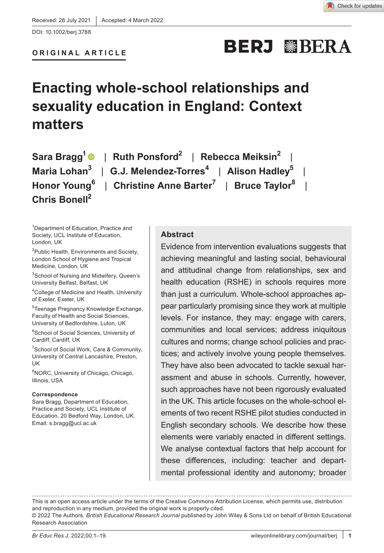# **BERJ WBERA**

# **Enacting whole-school relationships and sexuality education in England: Context matters**

**Sara Bragg1** | **Ruth Ponsford2** | **Rebecca Meiksin2** | **Maria Lohan3** | **G.J. Melendez-Torres<sup>4</sup>** | **Alison Hadley5** | **Honor Young<sup>6</sup>** | **Christine Anne Barter7** | **Bruce Taylor<sup>8</sup>** | **Chris Bonell2**

1 Department of Education, Practice and Society, UCL Institute of Education, London, UK

2 Public Health, Environments and Society, London School of Hygiene and Tropical Medicine, London, UK

3 School of Nursing and Midwifery, Queen's University Belfast, Belfast, UK

4 College of Medicine and Health, University of Exeter, Exeter, UK

5 Teenage Pregnancy Knowledge Exchange, Faculty of Health and Social Sciences, University of Bedfordshire, Luton, UK

6 School of Social Sciences, University of Cardiff, Cardiff, UK

7 School of Social Work, Care & Community, University of Central Lancashire, Preston, UK

8 NORC, University of Chicago, Chicago, Illinois, USA

#### **Correspondence**

Sara Bragg, Department of Education, Practice and Society, UCL Institute of Education, 20 Bedford Way, London, UK. Email: [s.bragg@ucl.ac.uk](mailto:s.bragg@ucl.ac.uk)

#### **Abstract**

Evidence from intervention evaluations suggests that achieving meaningful and lasting social, behavioural and attitudinal change from relationships, sex and health education (RSHE) in schools requires more than just a curriculum. Whole-school approaches appear particularly promising since they work at multiple levels. For instance, they may: engage with carers, communities and local services; address iniquitous cultures and norms; change school policies and practices; and actively involve young people themselves. They have also been advocated to tackle sexual harassment and abuse in schools. Currently, however, such approaches have not been rigorously evaluated in the UK. This article focuses on the whole-school elements of two recent RSHE pilot studies conducted in English secondary schools. We describe how these elements were variably enacted in different settings. We analyse contextual factors that help account for these differences, including: teacher and departmental professional identity and autonomy; broader

This is an open access article under the terms of the [Creative Commons Attribution](http://creativecommons.org/licenses/by/4.0/) License, which permits use, distribution and reproduction in any medium, provided the original work is properly cited.

<sup>© 2022</sup> The Authors. *British Educational Research Journal* published by John Wiley & Sons Ltd on behalf of British Educational Research Association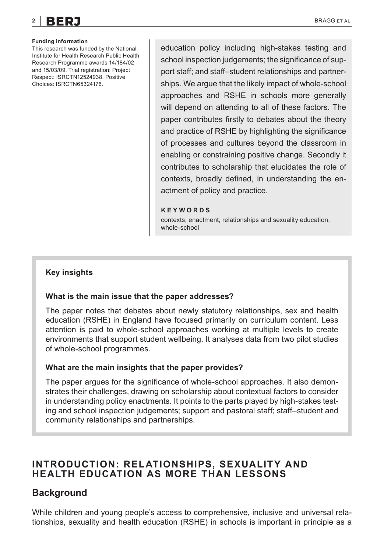**Funding information** This research was funded by the National Institute for Health Research Public Health Research Programme awards 14/184/02 and 15/03/09. Trial registration: Project Respect: ISRCTN12524938. Positive Choices: ISRCTN65324176.

education policy including high-stakes testing and school inspection judgements; the significance of support staff; and staff–student relationships and partnerships. We argue that the likely impact of whole-school approaches and RSHE in schools more generally will depend on attending to all of these factors. The paper contributes firstly to debates about the theory and practice of RSHE by highlighting the significance of processes and cultures beyond the classroom in enabling or constraining positive change. Secondly it contributes to scholarship that elucidates the role of contexts, broadly defined, in understanding the enactment of policy and practice.

#### **KEYWORDS**

contexts, enactment, relationships and sexuality education, whole-school

#### **Key insights**

#### **What is the main issue that the paper addresses?**

The paper notes that debates about newly statutory relationships, sex and health education (RSHE) in England have focused primarily on curriculum content. Less attention is paid to whole-school approaches working at multiple levels to create environments that support student wellbeing. It analyses data from two pilot studies of whole-school programmes.

#### **What are the main insights that the paper provides?**

The paper argues for the significance of whole-school approaches. It also demonstrates their challenges, drawing on scholarship about contextual factors to consider in understanding policy enactments. It points to the parts played by high-stakes testing and school inspection judgements; support and pastoral staff; staff–student and community relationships and partnerships.

# **INTRODUCTION: RELATIONSHIPS, SEXUALITY AND HEALTH EDUCATION AS MORE THAN LESSONS**

# **Background**

While children and young people's access to comprehensive, inclusive and universal relationships, sexuality and health education (RSHE) in schools is important in principle as a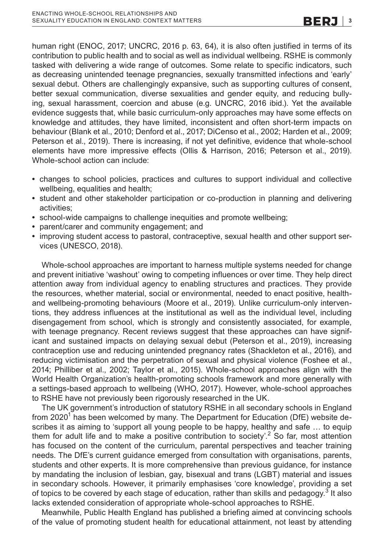human right (ENOC, 2017; UNCRC, 2016 p. 63, 64), it is also often justified in terms of its contribution to public health and to social as well as individual wellbeing. RSHE is commonly tasked with delivering a wide range of outcomes. Some relate to specific indicators, such as decreasing unintended teenage pregnancies, sexually transmitted infections and 'early' sexual debut. Others are challengingly expansive, such as supporting cultures of consent, better sexual communication, diverse sexualities and gender equity, and reducing bullying, sexual harassment, coercion and abuse (e.g. UNCRC, 2016 ibid.). Yet the available evidence suggests that, while basic curriculum-only approaches may have some effects on knowledge and attitudes, they have limited, inconsistent and often short-term impacts on behaviour (Blank et al., 2010; Denford et al., 2017; DiCenso et al., 2002; Harden et al., 2009; Peterson et al., 2019). There is increasing, if not yet definitive, evidence that whole-school elements have more impressive effects (Ollis & Harrison, 2016; Peterson et al., 2019). Whole-school action can include:

- **•** changes to school policies, practices and cultures to support individual and collective wellbeing, equalities and health;
- **•** student and other stakeholder participation or co-production in planning and delivering activities;
- **•** school-wide campaigns to challenge inequities and promote wellbeing;
- **•** parent/carer and community engagement; and
- **•** improving student access to pastoral, contraceptive, sexual health and other support services (UNESCO, 2018).

Whole-school approaches are important to harness multiple systems needed for change and prevent initiative 'washout' owing to competing influences or over time. They help direct attention away from individual agency to enabling structures and practices. They provide the resources, whether material, social or environmental, needed to enact positive, healthand wellbeing-promoting behaviours (Moore et al., 2019). Unlike curriculum-only interventions, they address influences at the institutional as well as the individual level, including disengagement from school, which is strongly and consistently associated, for example, with teenage pregnancy. Recent reviews suggest that these approaches can have significant and sustained impacts on delaying sexual debut (Peterson et al., 2019), increasing contraception use and reducing unintended pregnancy rates (Shackleton et al., 2016), and reducing victimisation and the perpetration of sexual and physical violence (Foshee et al., 2014; Philliber et al., 2002; Taylor et al., 2015). Whole-school approaches align with the World Health Organization's health-promoting schools framework and more generally with a settings-based approach to wellbeing (WHO, 2017). However, whole-school approaches to RSHE have not previously been rigorously researched in the UK.

The UK government's introduction of statutory RSHE in all secondary schools in England from 2020 $^{\mathsf{1}}$ has been welcomed by many. The Department for Education (DfE) website describes it as aiming to 'support all young people to be happy, healthy and safe … to equip them for adult life and to make a positive contribution to society'.<sup>2</sup> So far, most attention has focused on the content of the curriculum, parental perspectives and teacher training needs. The DfE's current guidance emerged from consultation with organisations, parents, students and other experts. It is more comprehensive than previous guidance, for instance by mandating the inclusion of lesbian, gay, bisexual and trans (LGBT) material and issues in secondary schools. However, it primarily emphasises 'core knowledge', providing a set of topics to be covered by each stage of education, rather than skills and pedagogy. $^3$  It also lacks extended consideration of appropriate whole-school approaches to RSHE.

Meanwhile, Public Health England has published a briefing aimed at convincing schools of the value of promoting student health for educational attainment, not least by attending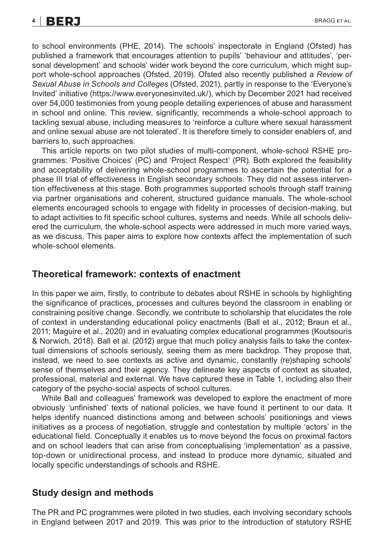# **4 |** BRAGG et al.

to school environments (PHE, 2014). The schools' inspectorate in England (Ofsted) has published a framework that encourages attention to pupils' 'behaviour and attitudes', 'personal development' and schools' wider work beyond the core curriculum, which might support whole-school approaches (Ofsted, 2019). Ofsted also recently published a *Review of Sexual Abuse in Schools and Colleges* (Ofsted, 2021), partly in response to the 'Everyone's Invited' initiative (<https://www.everyonesinvited.uk/>), which by December 2021 had received over 54,000 testimonies from young people detailing experiences of abuse and harassment in school and online. This review, significantly, recommends a whole-school approach to tackling sexual abuse, including measures to 'reinforce a culture where sexual harassment and online sexual abuse are not tolerated'. It is therefore timely to consider enablers of, and barriers to, such approaches.

This article reports on two pilot studies of multi-component, whole-school RSHE programmes: 'Positive Choices' (PC) and 'Project Respect' (PR). Both explored the feasibility and acceptability of delivering whole-school programmes to ascertain the potential for a phase III trial of effectiveness in English secondary schools. They did not assess intervention effectiveness at this stage. Both programmes supported schools through staff training via partner organisations and coherent, structured guidance manuals. The whole-school elements encouraged schools to engage with fidelity in processes of decision-making, but to adapt activities to fit specific school cultures, systems and needs. While all schools delivered the curriculum, the whole-school aspects were addressed in much more varied ways, as we discuss. This paper aims to explore how contexts affect the implementation of such whole-school elements.

#### **Theoretical framework: contexts of enactment**

In this paper we aim, firstly, to contribute to debates about RSHE in schools by highlighting the significance of practices, processes and cultures beyond the classroom in enabling or constraining positive change. Secondly, we contribute to scholarship that elucidates the role of context in understanding educational policy enactments (Ball et al., 2012; Braun et al., 2011; Maguire et al., 2020) and in evaluating complex educational programmes (Koutsouris & Norwich, 2018). Ball et al. (2012) argue that much policy analysis fails to take the contextual dimensions of schools seriously, seeing them as mere backdrop. They propose that, instead, we need to see contexts as active and dynamic, constantly (re)shaping schools' sense of themselves and their agency. They delineate key aspects of context as situated, professional, material and external. We have captured these in Table 1, including also their category of the psycho-social aspects of school cultures.

While Ball and colleagues' framework was developed to explore the enactment of more obviously 'unfinished' texts of national policies, we have found it pertinent to our data. It helps identify nuanced distinctions among and between schools' positionings and views initiatives as a process of negotiation, struggle and contestation by multiple 'actors' in the educational field. Conceptually it enables us to move beyond the focus on proximal factors and on school leaders that can arise from conceptualising 'implementation' as a passive, top-down or unidirectional process, and instead to produce more dynamic, situated and locally specific understandings of schools and RSHE.

#### **Study design and methods**

The PR and PC programmes were piloted in two studies, each involving secondary schools in England between 2017 and 2019. This was prior to the introduction of statutory RSHE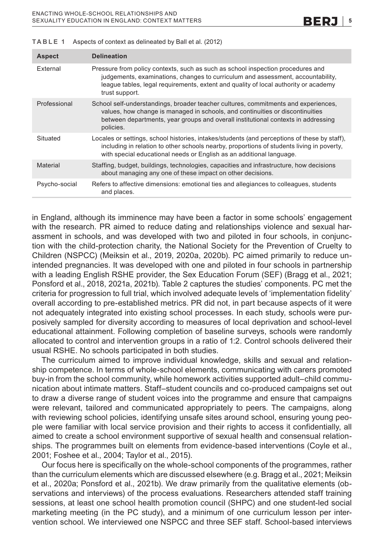| <b>Aspect</b> | <b>Delineation</b>                                                                                                                                                                                                                                                          |
|---------------|-----------------------------------------------------------------------------------------------------------------------------------------------------------------------------------------------------------------------------------------------------------------------------|
| External      | Pressure from policy contexts, such as such as school inspection procedures and<br>judgements, examinations, changes to curriculum and assessment, accountability,<br>league tables, legal requirements, extent and quality of local authority or academy<br>trust support. |
| Professional  | School self-understandings, broader teacher cultures, commitments and experiences,<br>values, how change is managed in schools, and continuities or discontinuities<br>between departments, year groups and overall institutional contexts in addressing<br>policies.       |
| Situated      | Locales or settings, school histories, intakes/students (and perceptions of these by staff),<br>including in relation to other schools nearby, proportions of students living in poverty,<br>with special educational needs or English as an additional language.           |
| Material      | Staffing, budget, buildings, technologies, capacities and infrastructure, how decisions<br>about managing any one of these impact on other decisions.                                                                                                                       |
| Psycho-social | Refers to affective dimensions: emotional ties and allegiances to colleagues, students<br>and places.                                                                                                                                                                       |

**TABLE 1** Aspects of context as delineated by Ball et al. (2012)

in England, although its imminence may have been a factor in some schools' engagement with the research. PR aimed to reduce dating and relationships violence and sexual harassment in schools, and was developed with two and piloted in four schools, in conjunction with the child-protection charity, the National Society for the Prevention of Cruelty to Children (NSPCC) (Meiksin et al., 2019, 2020a, 2020b). PC aimed primarily to reduce unintended pregnancies. It was developed with one and piloted in four schools in partnership with a leading English RSHE provider, the Sex Education Forum (SEF) (Bragg et al., 2021; Ponsford et al., 2018, 2021a, 2021b). Table 2 captures the studies' components. PC met the criteria for progression to full trial, which involved adequate levels of 'implementation fidelity' overall according to pre-established metrics. PR did not, in part because aspects of it were not adequately integrated into existing school processes. In each study, schools were purposively sampled for diversity according to measures of local deprivation and school-level educational attainment. Following completion of baseline surveys, schools were randomly allocated to control and intervention groups in a ratio of 1:2. Control schools delivered their usual RSHE. No schools participated in both studies.

The curriculum aimed to improve individual knowledge, skills and sexual and relationship competence. In terms of whole-school elements, communicating with carers promoted buy-in from the school community, while homework activities supported adult–child communication about intimate matters. Staff–student councils and co-produced campaigns set out to draw a diverse range of student voices into the programme and ensure that campaigns were relevant, tailored and communicated appropriately to peers. The campaigns, along with reviewing school policies, identifying unsafe sites around school, ensuring young people were familiar with local service provision and their rights to access it confidentially, all aimed to create a school environment supportive of sexual health and consensual relationships. The programmes built on elements from evidence-based interventions (Coyle et al., 2001; Foshee et al., 2004; Taylor et al., 2015).

Our focus here is specifically on the whole-school components of the programmes, rather than the curriculum elements which are discussed elsewhere (e.g. Bragg et al., 2021; Meiksin et al., 2020a; Ponsford et al., 2021b). We draw primarily from the qualitative elements (observations and interviews) of the process evaluations. Researchers attended staff training sessions, at least one school health promotion council (SHPC) and one student-led social marketing meeting (in the PC study), and a minimum of one curriculum lesson per intervention school. We interviewed one NSPCC and three SEF staff. School-based interviews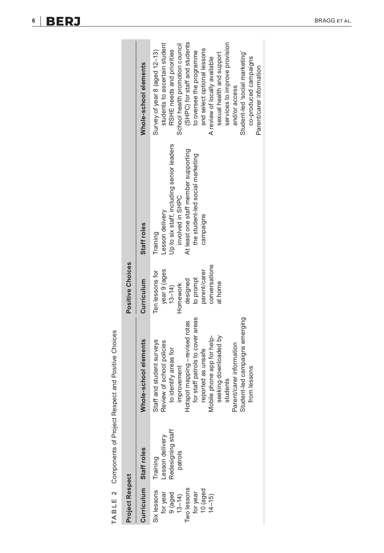| ١<br>I   |
|----------|
| ¢<br>١   |
|          |
|          |
| Ì<br>ׇ֚֘ |
| ١        |
|          |
|          |
| ׇ֚֬֡֡֡֡  |
| I<br>١   |
| I<br>l   |
| ı        |
|          |
| í<br>٦   |
| ļ        |
| l<br>l   |
|          |
| I        |
|          |
| ١        |
| ļ        |
| ۱<br>l   |
| Ì<br>l   |
| ļ        |
|          |
|          |
|          |
| I        |
| I<br>١   |
|          |
| ı        |
|          |
| ١<br>Ì   |
|          |
| ۱<br>١   |
|          |
|          |
| į        |
| ١        |
|          |
| ļ<br>l   |
| ١        |
| ļ        |
|          |
| I<br>١   |
|          |
| (<br>١   |
|          |
|          |
|          |
| ¢<br>ı   |
|          |
| ц        |
|          |
|          |
|          |

|                                                                                                         |                                                             | TABLE 2 Components of Project Respect and Positive Choices                                                                                                                                                                                                                                                                                  |                                                                                                                               |                                                                                                                                                                                       |                                                                                                                                                                                                                                                                                                                                                                                                       |
|---------------------------------------------------------------------------------------------------------|-------------------------------------------------------------|---------------------------------------------------------------------------------------------------------------------------------------------------------------------------------------------------------------------------------------------------------------------------------------------------------------------------------------------|-------------------------------------------------------------------------------------------------------------------------------|---------------------------------------------------------------------------------------------------------------------------------------------------------------------------------------|-------------------------------------------------------------------------------------------------------------------------------------------------------------------------------------------------------------------------------------------------------------------------------------------------------------------------------------------------------------------------------------------------------|
| Project Respect                                                                                         |                                                             |                                                                                                                                                                                                                                                                                                                                             | Positive Choices                                                                                                              |                                                                                                                                                                                       |                                                                                                                                                                                                                                                                                                                                                                                                       |
|                                                                                                         | Curriculum Staff roles                                      | Whole-school elements                                                                                                                                                                                                                                                                                                                       | Curriculum                                                                                                                    | Staff roles                                                                                                                                                                           | Whole-school elements                                                                                                                                                                                                                                                                                                                                                                                 |
| Two lessons<br>$10$ (aged<br>$14 - 15$ )<br>Six lessons<br>for year<br>9 (aged<br>$13 - 14$<br>for year | Redesigning staff<br>Lesson delivery<br>patrols<br>Training | for staff patrols to cover areas<br>Student-led campaigns emerging<br>Hotspot mapping -revised rotas<br>Mobile phone app for help-<br>seeking downloaded by<br>Staff and student surveys<br>Review of school policies<br>Parent/carer information<br>to identify areas for<br>reported as unsafe<br>improvement<br>from lessons<br>students | conversations<br>year 9 (ages<br>Ten lessons for<br>parent/carer<br>to prompt<br>designed<br>at home<br>Homework<br>$13 - 14$ | Up to six staff, including senior leaders<br>At least one staff member supporting<br>the student-led social marketing<br>involved in SHPC<br>Lesson delivery<br>campaigns<br>Training | (SHPC) for staff and students<br>services to improve provision<br>students to ascertain student<br>School health promotion council<br>and select optional lessons<br>RSHE needs and priorities<br>Survey of year 8 (aged 12-13)<br>to oversee the programme<br>Student-led 'social marketing'<br>sexual health and support<br>co-produced campaigns<br>A review of locally available<br>and/or access |
|                                                                                                         |                                                             |                                                                                                                                                                                                                                                                                                                                             |                                                                                                                               |                                                                                                                                                                                       | Parent/carer information                                                                                                                                                                                                                                                                                                                                                                              |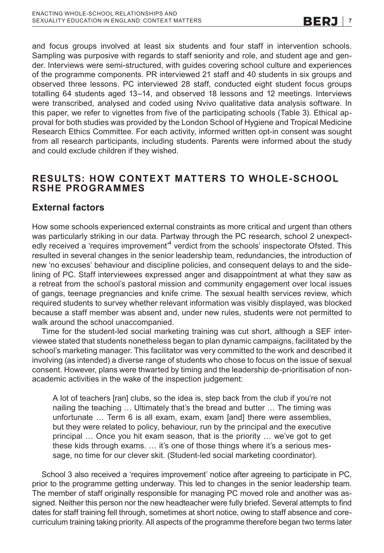and focus groups involved at least six students and four staff in intervention schools. Sampling was purposive with regards to staff seniority and role, and student age and gender. Interviews were semi-structured, with guides covering school culture and experiences of the programme components. PR interviewed 21 staff and 40 students in six groups and observed three lessons. PC interviewed 28 staff, conducted eight student focus groups totalling 64 students aged 13–14, and observed 18 lessons and 12 meetings. Interviews were transcribed, analysed and coded using Nvivo qualitative data analysis software. In this paper, we refer to vignettes from five of the participating schools (Table 3). Ethical approval for both studies was provided by the London School of Hygiene and Tropical Medicine Research Ethics Committee. For each activity, informed written opt-in consent was sought from all research participants, including students. Parents were informed about the study and could exclude children if they wished.

## **RESULTS: HOW CONTEXT MATTERS TO WHOLE-SCHOOL RSHE PROGRAMMES**

# **External factors**

How some schools experienced external constraints as more critical and urgent than others was particularly striking in our data. Partway through the PC research, school 2 unexpectedly received a 'requires improvement'<sup>4</sup> verdict from the schools' inspectorate Ofsted. This resulted in several changes in the senior leadership team, redundancies, the introduction of new 'no excuses' behaviour and discipline policies, and consequent delays to and the sidelining of PC. Staff interviewees expressed anger and disappointment at what they saw as a retreat from the school's pastoral mission and community engagement over local issues of gangs, teenage pregnancies and knife crime. The sexual health services review, which required students to survey whether relevant information was visibly displayed, was blocked because a staff member was absent and, under new rules, students were not permitted to walk around the school unaccompanied.

Time for the student-led social marketing training was cut short, although a SEF interviewee stated that students nonetheless began to plan dynamic campaigns, facilitated by the school's marketing manager. This facilitator was very committed to the work and described it involving (as intended) a diverse range of students who chose to focus on the issue of sexual consent. However, plans were thwarted by timing and the leadership de-prioritisation of nonacademic activities in the wake of the inspection judgement:

A lot of teachers [ran] clubs, so the idea is, step back from the club if you're not nailing the teaching … Ultimately that's the bread and butter … The timing was unfortunate … Term 6 is all exam, exam, exam [and] there were assemblies, but they were related to policy, behaviour, run by the principal and the executive principal … Once you hit exam season, that is the priority … we've got to get these kids through exams. … it's one of those things where it's a serious message, no time for our clever skit. (Student-led social marketing coordinator).

School 3 also received a 'requires improvement' notice after agreeing to participate in PC, prior to the programme getting underway. This led to changes in the senior leadership team. The member of staff originally responsible for managing PC moved role and another was assigned. Neither this person nor the new headteacher were fully briefed. Several attempts to find dates for staff training fell through, sometimes at short notice, owing to staff absence and corecurriculum training taking priority. All aspects of the programme therefore began two terms later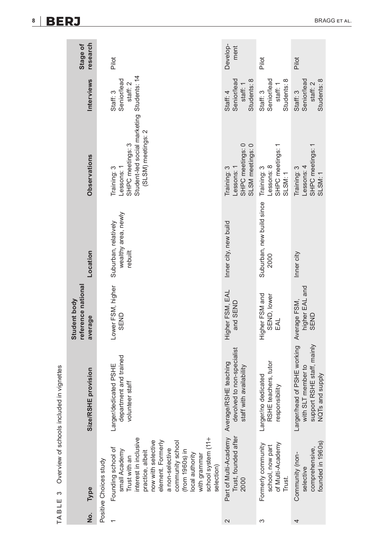|                   | TABLE 3 Overview of schools included in vignettes                                                                                                                                                                                                                            |                                                                                                    |                                               |                                                        |                                                                                                                  |                                                    |                      |
|-------------------|------------------------------------------------------------------------------------------------------------------------------------------------------------------------------------------------------------------------------------------------------------------------------|----------------------------------------------------------------------------------------------------|-----------------------------------------------|--------------------------------------------------------|------------------------------------------------------------------------------------------------------------------|----------------------------------------------------|----------------------|
| <u>ş</u>          | Type                                                                                                                                                                                                                                                                         | Size/RSHE provision                                                                                | reference national<br>Student body<br>average | Location                                               | <b>Observations</b>                                                                                              | <b>Interviews</b>                                  | research<br>Stage of |
|                   | Positive Choices study                                                                                                                                                                                                                                                       |                                                                                                    |                                               |                                                        |                                                                                                                  |                                                    |                      |
|                   | school system (11+<br>interest in inclusive<br>now with selective<br>element. Formerly<br>community school<br>Founding school of<br>a non-selective<br>(from 1960s) in<br>small Academy<br>practice, albeit<br>ocal authority<br>with grammar<br>Trust with an<br>selection) | department and trained<br>Larger/dedicated PSHE<br>volunteer staff                                 | Lower FSM, higher<br>SEND                     | wealthy area, newly<br>Suburban, relatively<br>rebuilt | Student-led social marketing Students: 14<br>(SLSM) meetings: 2<br>SHPC meetings: 3<br>Training: 3<br>Lessons: 1 | Senior/lead<br>staff: 2<br>Staff: 3                | Pilot                |
| $\mathbf{\Omega}$ | Part of Multi-Academy<br>Trust, founded after<br>2000                                                                                                                                                                                                                        | devolved to non-specialist<br>Average/RSHE teaching<br>staff with availability                     | Higher FSM, EAL<br>and SEND                   | Inner city, new build                                  | SHPC meetings: 0<br>SLSM meetings: 0<br>Lessons: 1<br>Training: 3                                                | Students: 8<br>Senior/lead<br>staff: 1<br>Staff: 4 | Develop-<br>ment     |
| S                 | of Multi-Academy<br>Formerly community<br>school, now part<br>Trust.                                                                                                                                                                                                         | RSHE teachers, tutor<br>Larger/no dedicated<br>responsibility                                      | Higher FSM and<br>SEND, lower<br>EAL          | Suburban, new build since<br>2000                      | SHPC meetings:<br>Lessons: 8<br>Training: 3<br>SLSM: 1                                                           | Senior/lead<br>Students: 8<br>staff: 1<br>Staff: 3 | Pilot                |
| 4                 | founded in 1960s)<br>comprehensive,<br>Community (non-<br>selective                                                                                                                                                                                                          | Larger/head of PSHE working<br>support RSHE staff, mainly<br>with SLT member to<br>NQTs and supply | higher EAL and<br>Average FSM,<br>SEND        | Inner city                                             | SHPC meetings: 1<br>Lessons: 4<br>Training: 3<br>SLSM: 1                                                         | Senior/lead<br>Students: 8<br>staff: 2<br>Staff: 3 | Pilot                |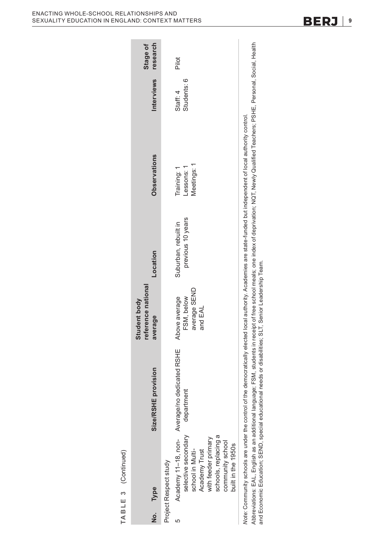|                                                                                                                                |                                                                                                                                                                                                | reference national<br>Student body                     |                                           |                                          |                         | Stage of |
|--------------------------------------------------------------------------------------------------------------------------------|------------------------------------------------------------------------------------------------------------------------------------------------------------------------------------------------|--------------------------------------------------------|-------------------------------------------|------------------------------------------|-------------------------|----------|
| No. Type                                                                                                                       | Size/RSHE provision                                                                                                                                                                            | average                                                | Location                                  | Observations                             | <b>Interviews</b>       | research |
| Project Respect study                                                                                                          |                                                                                                                                                                                                |                                                        |                                           |                                          |                         |          |
| selective secondary<br>ᢐ<br>with feeder primary<br>schools, replacing<br>community school<br>school in Multi-<br>Academy Trust | Academy 11-18, non- Average/no dedicated RSHE<br>department                                                                                                                                    | average SEND<br>Above average<br>FSM, below<br>and EAL | previous 10 years<br>Suburban, rebuilt in | Meetings: 1<br>Training: 1<br>Lessons: 1 | Students: 6<br>Staff: 4 | Pilot    |
| built in the 1950s                                                                                                             | Vote: Community schools are under the control of the democratically elected local authority. Academies are state-funded but independent of local authority control.                            |                                                        |                                           |                                          |                         |          |
| and Economic Education; SEND, special educational                                                                              | Abbreviations: EAL, English as an additional language; FSM, students in receipt of free school meals; one index of deprivation; NQ1, NQ4I/i Qualified Teachers; PSHE, Personal, Social, Health | needs or disabilities; SLT, Senior Leadership Team.    |                                           |                                          |                         |          |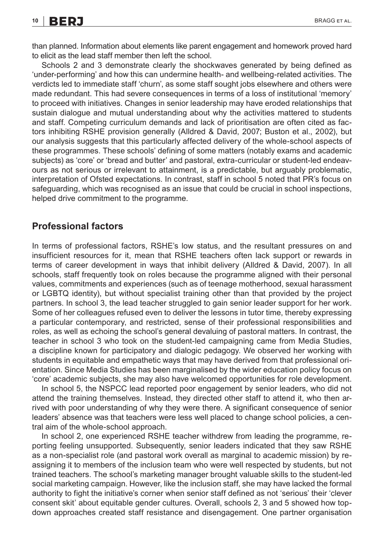than planned. Information about elements like parent engagement and homework proved hard to elicit as the lead staff member then left the school.

Schools 2 and 3 demonstrate clearly the shockwaves generated by being defined as 'under-performing' and how this can undermine health- and wellbeing-related activities. The verdicts led to immediate staff 'churn', as some staff sought jobs elsewhere and others were made redundant. This had severe consequences in terms of a loss of institutional 'memory' to proceed with initiatives. Changes in senior leadership may have eroded relationships that sustain dialogue and mutual understanding about why the activities mattered to students and staff. Competing curriculum demands and lack of prioritisation are often cited as factors inhibiting RSHE provision generally (Alldred & David, 2007; Buston et al., 2002), but our analysis suggests that this particularly affected delivery of the whole-school aspects of these programmes. These schools' defining of some matters (notably exams and academic subjects) as 'core' or 'bread and butter' and pastoral, extra-curricular or student-led endeavours as not serious or irrelevant to attainment, is a predictable, but arguably problematic, interpretation of Ofsted expectations. In contrast, staff in school 5 noted that PR's focus on safeguarding, which was recognised as an issue that could be crucial in school inspections, helped drive commitment to the programme.

### **Professional factors**

In terms of professional factors, RSHE's low status, and the resultant pressures on and insufficient resources for it, mean that RSHE teachers often lack support or rewards in terms of career development in ways that inhibit delivery (Alldred & David, 2007). In all schools, staff frequently took on roles because the programme aligned with their personal values, commitments and experiences (such as of teenage motherhood, sexual harassment or LGBTQ identity), but without specialist training other than that provided by the project partners. In school 3, the lead teacher struggled to gain senior leader support for her work. Some of her colleagues refused even to deliver the lessons in tutor time, thereby expressing a particular contemporary, and restricted, sense of their professional responsibilities and roles, as well as echoing the school's general devaluing of pastoral matters. In contrast, the teacher in school 3 who took on the student-led campaigning came from Media Studies, a discipline known for participatory and dialogic pedagogy. We observed her working with students in equitable and empathetic ways that may have derived from that professional orientation. Since Media Studies has been marginalised by the wider education policy focus on 'core' academic subjects, she may also have welcomed opportunities for role development.

In school 5, the NSPCC lead reported poor engagement by senior leaders, who did not attend the training themselves. Instead, they directed other staff to attend it, who then arrived with poor understanding of why they were there. A significant consequence of senior leaders' absence was that teachers were less well placed to change school policies, a central aim of the whole-school approach.

In school 2, one experienced RSHE teacher withdrew from leading the programme, reporting feeling unsupported. Subsequently, senior leaders indicated that they saw RSHE as a non-specialist role (and pastoral work overall as marginal to academic mission) by reassigning it to members of the inclusion team who were well respected by students, but not trained teachers. The school's marketing manager brought valuable skills to the student-led social marketing campaign. However, like the inclusion staff, she may have lacked the formal authority to fight the initiative's corner when senior staff defined as not 'serious' their 'clever consent skit' about equitable gender cultures. Overall, schools 2, 3 and 5 showed how topdown approaches created staff resistance and disengagement. One partner organisation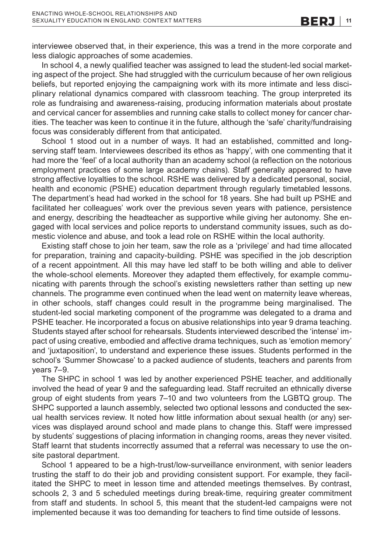interviewee observed that, in their experience, this was a trend in the more corporate and less dialogic approaches of some academies.

In school 4, a newly qualified teacher was assigned to lead the student-led social marketing aspect of the project. She had struggled with the curriculum because of her own religious beliefs, but reported enjoying the campaigning work with its more intimate and less disciplinary relational dynamics compared with classroom teaching. The group interpreted its role as fundraising and awareness-raising, producing information materials about prostate and cervical cancer for assemblies and running cake stalls to collect money for cancer charities. The teacher was keen to continue it in the future, although the 'safe' charity/fundraising focus was considerably different from that anticipated.

School 1 stood out in a number of ways. It had an established, committed and longserving staff team. Interviewees described its ethos as 'happy', with one commenting that it had more the 'feel' of a local authority than an academy school (a reflection on the notorious employment practices of some large academy chains). Staff generally appeared to have strong affective loyalties to the school. RSHE was delivered by a dedicated personal, social, health and economic (PSHE) education department through regularly timetabled lessons. The department's head had worked in the school for 18 years. She had built up PSHE and facilitated her colleagues' work over the previous seven years with patience, persistence and energy, describing the headteacher as supportive while giving her autonomy. She engaged with local services and police reports to understand community issues, such as domestic violence and abuse, and took a lead role on RSHE within the local authority.

Existing staff chose to join her team, saw the role as a 'privilege' and had time allocated for preparation, training and capacity-building. PSHE was specified in the job description of a recent appointment. All this may have led staff to be both willing and able to deliver the whole-school elements. Moreover they adapted them effectively, for example communicating with parents through the school's existing newsletters rather than setting up new channels. The programme even continued when the lead went on maternity leave whereas, in other schools, staff changes could result in the programme being marginalised. The student-led social marketing component of the programme was delegated to a drama and PSHE teacher. He incorporated a focus on abusive relationships into year 9 drama teaching. Students stayed after school for rehearsals. Students interviewed described the 'intense' impact of using creative, embodied and affective drama techniques, such as 'emotion memory' and 'juxtaposition', to understand and experience these issues. Students performed in the school's 'Summer Showcase' to a packed audience of students, teachers and parents from years 7–9.

The SHPC in school 1 was led by another experienced PSHE teacher, and additionally involved the head of year 9 and the safeguarding lead. Staff recruited an ethnically diverse group of eight students from years 7–10 and two volunteers from the LGBTQ group. The SHPC supported a launch assembly, selected two optional lessons and conducted the sexual health services review. It noted how little information about sexual health (or any) services was displayed around school and made plans to change this. Staff were impressed by students' suggestions of placing information in changing rooms, areas they never visited. Staff learnt that students incorrectly assumed that a referral was necessary to use the onsite pastoral department.

School 1 appeared to be a high-trust/low-surveillance environment, with senior leaders trusting the staff to do their job and providing consistent support. For example, they facilitated the SHPC to meet in lesson time and attended meetings themselves. By contrast, schools 2, 3 and 5 scheduled meetings during break-time, requiring greater commitment from staff and students. In school 5, this meant that the student-led campaigns were not implemented because it was too demanding for teachers to find time outside of lessons.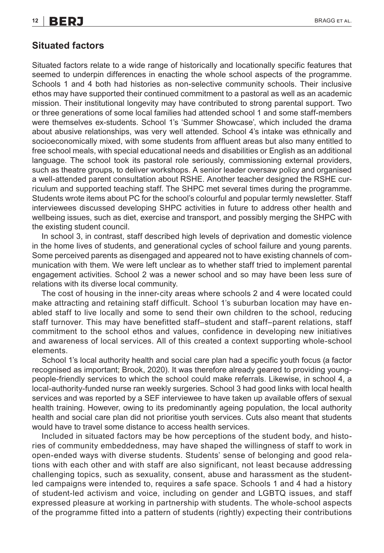#### **Situated factors**

Situated factors relate to a wide range of historically and locationally specific features that seemed to underpin differences in enacting the whole school aspects of the programme. Schools 1 and 4 both had histories as non-selective community schools. Their inclusive ethos may have supported their continued commitment to a pastoral as well as an academic mission. Their institutional longevity may have contributed to strong parental support. Two or three generations of some local families had attended school 1 and some staff-members were themselves ex-students. School 1's 'Summer Showcase', which included the drama about abusive relationships, was very well attended. School 4's intake was ethnically and socioeconomically mixed, with some students from affluent areas but also many entitled to free school meals, with special educational needs and disabilities or English as an additional language. The school took its pastoral role seriously, commissioning external providers, such as theatre groups, to deliver workshops. A senior leader oversaw policy and organised a well-attended parent consultation about RSHE. Another teacher designed the RSHE curriculum and supported teaching staff. The SHPC met several times during the programme. Students wrote items about PC for the school's colourful and popular termly newsletter. Staff interviewees discussed developing SHPC activities in future to address other health and wellbeing issues, such as diet, exercise and transport, and possibly merging the SHPC with the existing student council.

In school 3, in contrast, staff described high levels of deprivation and domestic violence in the home lives of students, and generational cycles of school failure and young parents. Some perceived parents as disengaged and appeared not to have existing channels of communication with them. We were left unclear as to whether staff tried to implement parental engagement activities. School 2 was a newer school and so may have been less sure of relations with its diverse local community.

The cost of housing in the inner-city areas where schools 2 and 4 were located could make attracting and retaining staff difficult. School 1's suburban location may have enabled staff to live locally and some to send their own children to the school, reducing staff turnover. This may have benefitted staff–student and staff–parent relations, staff commitment to the school ethos and values, confidence in developing new initiatives and awareness of local services. All of this created a context supporting whole-school elements.

School 1's local authority health and social care plan had a specific youth focus (a factor recognised as important; Brook, 2020). It was therefore already geared to providing youngpeople-friendly services to which the school could make referrals. Likewise, in school 4, a local-authority-funded nurse ran weekly surgeries. School 3 had good links with local health services and was reported by a SEF interviewee to have taken up available offers of sexual health training. However, owing to its predominantly ageing population, the local authority health and social care plan did not prioritise youth services. Cuts also meant that students would have to travel some distance to access health services.

Included in situated factors may be how perceptions of the student body, and histories of community embeddedness, may have shaped the willingness of staff to work in open-ended ways with diverse students. Students' sense of belonging and good relations with each other and with staff are also significant, not least because addressing challenging topics, such as sexuality, consent, abuse and harassment as the studentled campaigns were intended to, requires a safe space. Schools 1 and 4 had a history of student-led activism and voice, including on gender and LGBTQ issues, and staff expressed pleasure at working in partnership with students. The whole-school aspects of the programme fitted into a pattern of students (rightly) expecting their contributions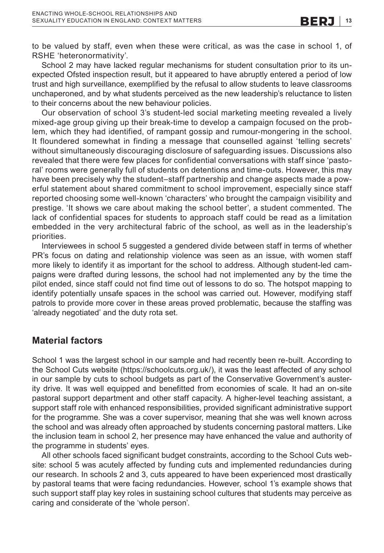to be valued by staff, even when these were critical, as was the case in school 1, of RSHE 'heteronormativity'.

School 2 may have lacked regular mechanisms for student consultation prior to its unexpected Ofsted inspection result, but it appeared to have abruptly entered a period of low trust and high surveillance, exemplified by the refusal to allow students to leave classrooms unchaperoned, and by what students perceived as the new leadership's reluctance to listen to their concerns about the new behaviour policies.

Our observation of school 3's student-led social marketing meeting revealed a lively mixed-age group giving up their break-time to develop a campaign focused on the problem, which they had identified, of rampant gossip and rumour-mongering in the school. It floundered somewhat in finding a message that counselled against 'telling secrets' without simultaneously discouraging disclosure of safeguarding issues. Discussions also revealed that there were few places for confidential conversations with staff since 'pastoral' rooms were generally full of students on detentions and time-outs. However, this may have been precisely why the student–staff partnership and change aspects made a powerful statement about shared commitment to school improvement, especially since staff reported choosing some well-known 'characters' who brought the campaign visibility and prestige. 'It shows we care about making the school better', a student commented. The lack of confidential spaces for students to approach staff could be read as a limitation embedded in the very architectural fabric of the school, as well as in the leadership's priorities.

Interviewees in school 5 suggested a gendered divide between staff in terms of whether PR's focus on dating and relationship violence was seen as an issue, with women staff more likely to identify it as important for the school to address. Although student-led campaigns were drafted during lessons, the school had not implemented any by the time the pilot ended, since staff could not find time out of lessons to do so. The hotspot mapping to identify potentially unsafe spaces in the school was carried out. However, modifying staff patrols to provide more cover in these areas proved problematic, because the staffing was 'already negotiated' and the duty rota set.

#### **Material factors**

School 1 was the largest school in our sample and had recently been re-built. According to the School Cuts website [\(https://schoolcuts.org.uk/\),](https://schoolcuts.org.uk/)) it was the least affected of any school in our sample by cuts to school budgets as part of the Conservative Government's austerity drive. It was well equipped and benefitted from economies of scale. It had an on-site pastoral support department and other staff capacity. A higher-level teaching assistant, a support staff role with enhanced responsibilities, provided significant administrative support for the programme. She was a cover supervisor, meaning that she was well known across the school and was already often approached by students concerning pastoral matters. Like the inclusion team in school 2, her presence may have enhanced the value and authority of the programme in students' eyes.

All other schools faced significant budget constraints, according to the School Cuts website: school 5 was acutely affected by funding cuts and implemented redundancies during our research. In schools 2 and 3, cuts appeared to have been experienced most drastically by pastoral teams that were facing redundancies. However, school 1's example shows that such support staff play key roles in sustaining school cultures that students may perceive as caring and considerate of the 'whole person'.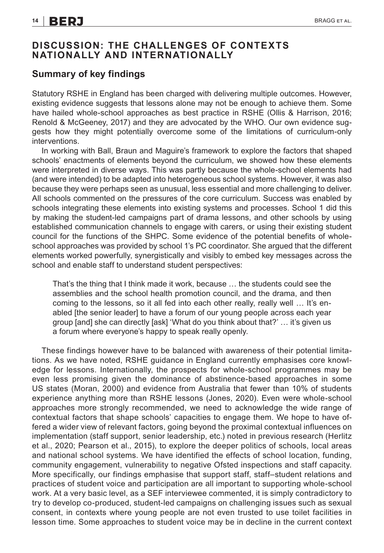#### **DISCUSSION: THE CHALLENGES OF CONTEXTS NATIONALLY AND INTERNATIONALLY**

#### **Summary of key findings**

Statutory RSHE in England has been charged with delivering multiple outcomes. However, existing evidence suggests that lessons alone may not be enough to achieve them. Some have hailed whole-school approaches as best practice in RSHE (Ollis & Harrison, 2016; Renold & McGeeney, 2017) and they are advocated by the WHO. Our own evidence suggests how they might potentially overcome some of the limitations of curriculum-only interventions.

In working with Ball, Braun and Maguire's framework to explore the factors that shaped schools' enactments of elements beyond the curriculum, we showed how these elements were interpreted in diverse ways. This was partly because the whole-school elements had (and were intended) to be adapted into heterogeneous school systems. However, it was also because they were perhaps seen as unusual, less essential and more challenging to deliver. All schools commented on the pressures of the core curriculum. Success was enabled by schools integrating these elements into existing systems and processes. School 1 did this by making the student-led campaigns part of drama lessons, and other schools by using established communication channels to engage with carers, or using their existing student council for the functions of the SHPC. Some evidence of the potential benefits of wholeschool approaches was provided by school 1's PC coordinator. She argued that the different elements worked powerfully, synergistically and visibly to embed key messages across the school and enable staff to understand student perspectives:

That's the thing that I think made it work, because … the students could see the assemblies and the school health promotion council, and the drama, and then coming to the lessons, so it all fed into each other really, really well … It's enabled [the senior leader] to have a forum of our young people across each year group [and] she can directly [ask] 'What do you think about that?' … it's given us a forum where everyone's happy to speak really openly.

These findings however have to be balanced with awareness of their potential limitations. As we have noted, RSHE guidance in England currently emphasises core knowledge for lessons. Internationally, the prospects for whole-school programmes may be even less promising given the dominance of abstinence-based approaches in some US states (Moran, 2000) and evidence from Australia that fewer than 10% of students experience anything more than RSHE lessons (Jones, 2020). Even were whole-school approaches more strongly recommended, we need to acknowledge the wide range of contextual factors that shape schools' capacities to engage them. We hope to have offered a wider view of relevant factors, going beyond the proximal contextual influences on implementation (staff support, senior leadership, etc.) noted in previous research (Herlitz et al., 2020; Pearson et al., 2015), to explore the deeper politics of schools, local areas and national school systems. We have identified the effects of school location, funding, community engagement, vulnerability to negative Ofsted inspections and staff capacity. More specifically, our findings emphasise that support staff, staff–student relations and practices of student voice and participation are all important to supporting whole-school work. At a very basic level, as a SEF interviewee commented, it is simply contradictory to try to develop co-produced, student-led campaigns on challenging issues such as sexual consent, in contexts where young people are not even trusted to use toilet facilities in lesson time. Some approaches to student voice may be in decline in the current context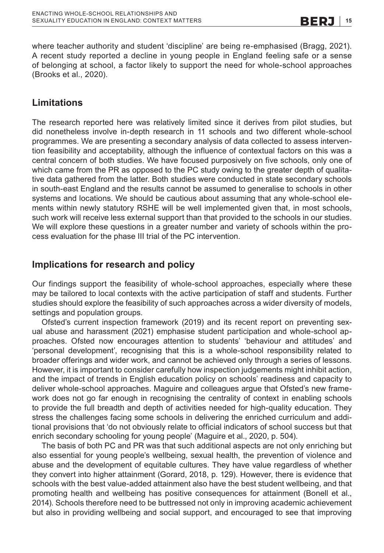where teacher authority and student 'discipline' are being re-emphasised (Bragg, 2021). A recent study reported a decline in young people in England feeling safe or a sense of belonging at school, a factor likely to support the need for whole-school approaches (Brooks et al., 2020).

# **Limitations**

The research reported here was relatively limited since it derives from pilot studies, but did nonetheless involve in-depth research in 11 schools and two different whole-school programmes. We are presenting a secondary analysis of data collected to assess intervention feasibility and acceptability, although the influence of contextual factors on this was a central concern of both studies. We have focused purposively on five schools, only one of which came from the PR as opposed to the PC study owing to the greater depth of qualitative data gathered from the latter. Both studies were conducted in state secondary schools in south-east England and the results cannot be assumed to generalise to schools in other systems and locations. We should be cautious about assuming that any whole-school elements within newly statutory RSHE will be well implemented given that, in most schools, such work will receive less external support than that provided to the schools in our studies. We will explore these questions in a greater number and variety of schools within the process evaluation for the phase III trial of the PC intervention.

## **Implications for research and policy**

Our findings support the feasibility of whole-school approaches, especially where these may be tailored to local contexts with the active participation of staff and students. Further studies should explore the feasibility of such approaches across a wider diversity of models, settings and population groups.

Ofsted's current inspection framework (2019) and its recent report on preventing sexual abuse and harassment (2021) emphasise student participation and whole-school approaches. Ofsted now encourages attention to students' 'behaviour and attitudes' and 'personal development', recognising that this is a whole-school responsibility related to broader offerings and wider work, and cannot be achieved only through a series of lessons. However, it is important to consider carefully how inspection judgements might inhibit action, and the impact of trends in English education policy on schools' readiness and capacity to deliver whole-school approaches. Maguire and colleagues argue that Ofsted's new framework does not go far enough in recognising the centrality of context in enabling schools to provide the full breadth and depth of activities needed for high-quality education. They stress the challenges facing some schools in delivering the enriched curriculum and additional provisions that 'do not obviously relate to official indicators of school success but that enrich secondary schooling for young people' (Maguire et al., 2020, p. 504).

The basis of both PC and PR was that such additional aspects are not only enriching but also essential for young people's wellbeing, sexual health, the prevention of violence and abuse and the development of equitable cultures. They have value regardless of whether they convert into higher attainment (Gorard, 2018, p. 129). However, there is evidence that schools with the best value-added attainment also have the best student wellbeing, and that promoting health and wellbeing has positive consequences for attainment (Bonell et al., 2014). Schools therefore need to be buttressed not only in improving academic achievement but also in providing wellbeing and social support, and encouraged to see that improving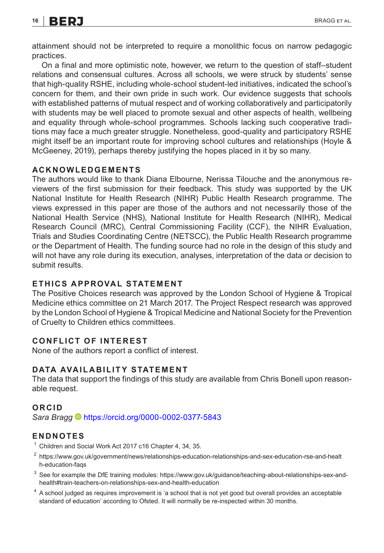# **16 | BERJ** BRAGG ET AL.

attainment should not be interpreted to require a monolithic focus on narrow pedagogic practices.

On a final and more optimistic note, however, we return to the question of staff–student relations and consensual cultures. Across all schools, we were struck by students' sense that high-quality RSHE, including whole-school student-led initiatives, indicated the school's concern for them, and their own pride in such work. Our evidence suggests that schools with established patterns of mutual respect and of working collaboratively and participatorily with students may be well placed to promote sexual and other aspects of health, wellbeing and equality through whole-school programmes. Schools lacking such cooperative traditions may face a much greater struggle. Nonetheless, good-quality and participatory RSHE might itself be an important route for improving school cultures and relationships (Hoyle & McGeeney, 2019), perhaps thereby justifying the hopes placed in it by so many.

#### **ACKNOWLEDGEMENTS**

The authors would like to thank Diana Elbourne, Nerissa Tilouche and the anonymous reviewers of the first submission for their feedback. This study was supported by the UK National Institute for Health Research (NIHR) Public Health Research programme. The views expressed in this paper are those of the authors and not necessarily those of the National Health Service (NHS), National Institute for Health Research (NIHR), Medical Research Council (MRC), Central Commissioning Facility (CCF), the NIHR Evaluation, Trials and Studies Coordinating Centre (NETSCC), the Public Health Research programme or the Department of Health. The funding source had no role in the design of this study and will not have any role during its execution, analyses, interpretation of the data or decision to submit results.

#### **ETHICS APPROVAL STATEMENT**

The Positive Choices research was approved by the London School of Hygiene & Tropical Medicine ethics committee on 21 March 2017. The Project Respect research was approved by the London School of Hygiene & Tropical Medicine and National Society for the Prevention of Cruelty to Children ethics committees.

#### **CONFLICT OF INTEREST**

None of the authors report a conflict of interest.

#### **DATA AVAILABILITY STATEMENT**

The data that support the findings of this study are available from Chris Bonell upon reasonable request.

#### **ORCID**

*Sara Bragg* <https://orcid.org/0000-0002-0377-5843>

#### **ENDNOTES**

- $1$  Children and Social Work Act 2017 c16 Chapter 4, 34, 35.
- <sup>2</sup> [https://www.gov.uk/government/news/relationships-education-relationships-and-sex-education-rse-and-healt](https://www.gov.uk/government/news/relationships-education-relationships-and-sex-education-rse-and-health-education-faqs://www.gov.uk/government/news/relationships-education-relationships-and-sex-education-rse-and-health-education-faqs) [h-education-faqs](https://www.gov.uk/government/news/relationships-education-relationships-and-sex-education-rse-and-health-education-faqs://www.gov.uk/government/news/relationships-education-relationships-and-sex-education-rse-and-health-education-faqs)
- <sup>3</sup> See for example the DfE training modules: [https://www.gov.uk/guidance/teaching-about-relationships-sex-and](https://www.gov.uk/guidance/teaching-about-relationships-sex-and-health://www.gov.uk/guidance/teaching-about-relationships-sex-and-health#train-teachers-on-relationships-sex-and-health-education)[health#train-teachers-on-relationships-sex-and-health-education](https://www.gov.uk/guidance/teaching-about-relationships-sex-and-health://www.gov.uk/guidance/teaching-about-relationships-sex-and-health#train-teachers-on-relationships-sex-and-health-education)
- <sup>4</sup> A school judged as requires improvement is 'a school that is not yet good but overall provides an acceptable standard of education' according to Ofsted. It will normally be re-inspected within 30 months.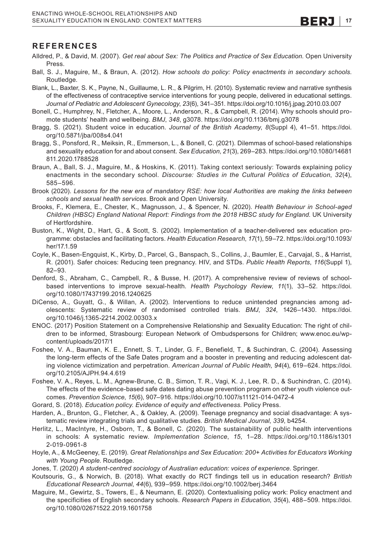#### **REFERENCES**

- Alldred, P., & David, M. (2007). *Get real about Sex: The Politics and Practice of Sex Education*. Open University Press.
- Ball, S. J., Maguire, M., & Braun, A. (2012). *How schools do policy: Policy enactments in secondary schools*. Routledge.
- Blank, L., Baxter, S. K., Payne, N., Guillaume, L. R., & Pilgrim, H. (2010). Systematic review and narrative synthesis of the effectiveness of contraceptive service interventions for young people, delivered in educational settings. *Journal of Pediatric and Adolescent Gynecology*, *23*(6), 341–351.<https://doi.org/10.1016/j.jpag.2010.03.007>
- Bonell, C., Humphrey, N., Fletcher, A., Moore, L., Anderson, R., & Campbell, R. (2014). Why schools should promote students' health and wellbeing. *BMJ*, *348*, g3078.<https://doi.org/10.1136/bmj.g3078>
- Bragg, S. (2021). Student voice in education. *Journal of the British Academy*, *8*(Suppl 4), 41–51. [https://doi.](https://doi.org/10.5871/jba/008s4.041) [org/10.5871/jba/008s4.041](https://doi.org/10.5871/jba/008s4.041)
- Bragg, S., Ponsford, R., Meiksin, R., Emmerson, L., & Bonell, C. (2021). Dilemmas of school-based relationships and sexuality education for and about consent. *Sex Education*, *21*(3), 269–283. [https://doi.org/10.1080/14681](https://doi.org/10.1080/14681811.2020.1788528) [811.2020.1788528](https://doi.org/10.1080/14681811.2020.1788528)
- Braun, A., Ball, S. J., Maguire, M., & Hoskins, K. (2011). Taking context seriously: Towards explaining policy enactments in the secondary school. *Discourse: Studies in the Cultural Politics of Education*, *32*(4), 585–596.
- Brook (2020). *Lessons for the new era of mandatory RSE: how local Authorities are making the links between schools and sexual health services*. Brook and Open University.
- Brooks, F., Klemera, E., Chester, K., Magnusson, J., & Spencer, N. (2020). *Health Behaviour in School-aged Children (HBSC) England National Report: Findings from the 2018 HBSC study for England*. UK University of Hertfordshire.
- Buston, K., Wight, D., Hart, G., & Scott, S. (2002). Implementation of a teacher-delivered sex education programme: obstacles and facilitating factors. *Health Education Research*, *17*(1), 59–72. [https://doi.org/10.1093/](https://doi.org/10.1093/her/17.1.59) [her/17.1.59](https://doi.org/10.1093/her/17.1.59)
- Coyle, K., Basen-Engquist, K., Kirby, D., Parcel, G., Banspach, S., Collins, J., Baumler, E., Carvajal, S., & Harrist, R. (2001). Safer choices: Reducing teen pregnancy. HIV, and STDs. *Public Health Reports*, *116*(Suppl 1), 82–93.
- Denford, S., Abraham, C., Campbell, R., & Busse, H. (2017). A comprehensive review of reviews of schoolbased interventions to improve sexual-health. *Health Psychology Review*, *11*(1), 33–52. [https://doi.](https://doi.org/10.1080/17437199.2016.1240625) [org/10.1080/17437199.2016.1240625](https://doi.org/10.1080/17437199.2016.1240625)
- DiCenso, A., Guyatt, G., & Willan, A. (2002). Interventions to reduce unintended pregnancies among adolescents: Systematic review of randomised controlled trials. *BMJ*, *324*, 1426–1430. [https://doi.](https://doi.org/10.1046/j.1365-2214.2002.00303.x) [org/10.1046/j.1365-2214.2002.00303.x](https://doi.org/10.1046/j.1365-2214.2002.00303.x)
- ENOC. (2017) Position Statement on a Comprehensive Relationship and Sexuality Education: The right of children to be informed, Strasbourg: European Network of Ombudspersons for Children; [www.enoc.eu/wp](http://www.enoc.eu/wp-content/uploads/2017/1)[content/uploads/2017/1](http://www.enoc.eu/wp-content/uploads/2017/1)
- Foshee, V. A., Bauman, K. E., Ennett, S. T., Linder, G. F., Benefield, T., & Suchindran, C. (2004). Assessing the long-term effects of the Safe Dates program and a booster in preventing and reducing adolescent dating violence victimization and perpetration. *American Journal of Public Health*, *94*(4), 619–624. [https://doi.](https://doi.org/10.2105/AJPH.94.4.619) [org/10.2105/AJPH.94.4.619](https://doi.org/10.2105/AJPH.94.4.619)
- Foshee, V. A., Reyes, L. M., Agnew-Brune, C. B., Simon, T. R., Vagi, K. J., Lee, R. D., & Suchindran, C. (2014). The effects of the evidence-based safe dates dating abuse prevention program on other youth violence outcomes. *Prevention Science*, *15*(6), 907–916.<https://doi.org/10.1007/s11121-014-0472-4>
- Gorard, S. (2018). *Education policy. Evidence of equity and effectiveness*. Policy Press.
- Harden, A., Brunton, G., Fletcher, A., & Oakley, A. (2009). Teenage pregnancy and social disadvantage: A systematic review integrating trials and qualitative studies. *British Medical Journal*, *339*, b4254.
- Herlitz, L., MacIntyre, H., Osborn, T., & Bonell, C. (2020). The sustainability of public health interventions in schools: A systematic review. *Implementation Science*, *15*, 1–28. [https://doi.org/10.1186/s1301](https://doi.org/10.1186/s13012-019-0961-8) [2-019-0961-8](https://doi.org/10.1186/s13012-019-0961-8)
- Hoyle, A., & McGeeney, E. (2019). *Great Relationships and Sex Education: 200*+ *Activities for Educators Working with Young People*. Routledge.
- Jones, T. (2020) *A student-centred sociology of Australian education: voices of experience*. Springer.
- Koutsouris, G., & Norwich, B. (2018). What exactly do RCT findings tell us in education research? *British Educational Research Journal*, *44*(6), 939–959.<https://doi.org/10.1002/berj.3464>
- Maguire, M., Gewirtz, S., Towers, E., & Neumann, E. (2020). Contextualising policy work: Policy enactment and the specificities of English secondary schools. *Research Papers in Education*, *35*(4), 488–509. [https://doi.](https://doi.org/10.1080/02671522.2019.1601758) [org/10.1080/02671522.2019.1601758](https://doi.org/10.1080/02671522.2019.1601758)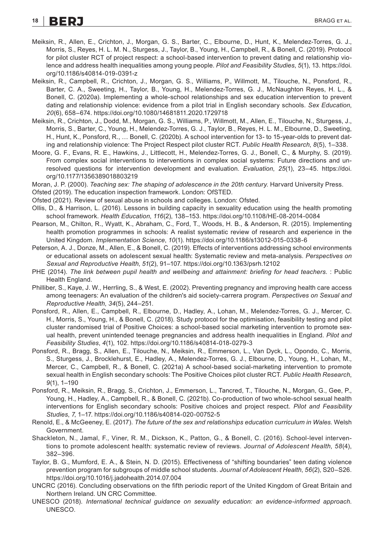# **18 | BERJ** et al. **18 | BRAGG et al.**

- Meiksin, R., Allen, E., Crichton, J., Morgan, G. S., Barter, C., Elbourne, D., Hunt, K., Melendez-Torres, G. J., Morris, S., Reyes, H. L. M. N., Sturgess, J., Taylor, B., Young, H., Campbell, R., & Bonell, C. (2019). Protocol for pilot cluster RCT of project respect: a school-based intervention to prevent dating and relationship violence and address health inequalities among young people. *Pilot and Feasibility Studies*, *5*(1), 13. [https://doi.](https://doi.org/10.1186/s40814-019-0391-z) [org/10.1186/s40814-019-0391-z](https://doi.org/10.1186/s40814-019-0391-z)
- Meiksin, R., Campbell, R., Crichton, J., Morgan, G. S., Williams, P., Willmott, M., Tilouche, N., Ponsford, R., Barter, C. A., Sweeting, H., Taylor, B., Young, H., Melendez-Torres, G. J., McNaughton Reyes, H. L., & Bonell, C. (2020a). Implementing a whole-school relationships and sex education intervention to prevent dating and relationship violence: evidence from a pilot trial in English secondary schools. *Sex Education*, *20*(6), 658–674.<https://doi.org/10.1080/14681811.2020.1729718>
- Meiksin, R., Crichton, J., Dodd, M., Morgan, G. S., Williams, P., Willmott, M., Allen, E., Tilouche, N., Sturgess, J., Morris, S., Barter, C., Young, H., Melendez-Torres, G. J., Taylor, B., Reyes, H. L. M., Elbourne, D., Sweeting, H., Hunt, K., Ponsford, R., … Bonell, C. (2020b). A school intervention for 13- to 15-year-olds to prevent dating and relationship violence: The Project Respect pilot cluster RCT. *Public Health Research*, *8*(5), 1–338.
- Moore, G. F., Evans, R. E., Hawkins, J., Littlecott, H., Melendez-Torres, G. J., Bonell, C., & Murphy, S. (2019). From complex social interventions to interventions in complex social systems: Future directions and unresolved questions for intervention development and evaluation. *Evaluation*, *25*(1), 23–45. [https://doi.](https://doi.org/10.1177/1356389018803219) [org/10.1177/1356389018803219](https://doi.org/10.1177/1356389018803219)
- Moran, J. P. (2000). *Teaching sex: The shaping of adolescence in the 20th century*. Harvard University Press.
- Ofsted (2019). The education inspection framework. London: OfSTED.
- Ofsted (2021). Review of sexual abuse in schools and colleges. London: Ofsted.
- Ollis, D., & Harrison, L. (2016). Lessons in building capacity in sexuality education using the health promoting school framework. *Health Education*, *116*(2), 138–153.<https://doi.org/10.1108/HE-08-2014-0084>
- Pearson, M., Chilton, R., Wyatt, K., Abraham, C., Ford, T., Woods, H. B., & Anderson, R. (2015). Implementing health promotion programmes in schools: A realist systematic review of research and experience in the United Kingdom. *Implementation Science*, *10*(1). <https://doi.org/10.1186/s13012-015-0338-6>
- Peterson, A. J., Donze, M., Allen, E., & Bonell, C. (2019). Effects of interventions addressing school environments or educational assets on adolescent sexual health: Systematic review and meta-analysis. *Perspectives on Sexual and Reproductive Health*, *51*(2), 91–107. <https://doi.org/10.1363/psrh.12102>
- PHE (2014). *The link between pupil health and wellbeing and attainment: briefing for head teachers*. : Public Health England.
- Philliber, S., Kaye, J. W., Herrling, S., & West, E. (2002). Preventing pregnancy and improving health care access among teenagers: An evaluation of the children's aid society-carrera program. *Perspectives on Sexual and Reproductive Health*, *34*(5), 244–251.
- Ponsford, R., Allen, E., Campbell, R., Elbourne, D., Hadley, A., Lohan, M., Melendez-Torres, G. J., Mercer, C. H., Morris, S., Young, H., & Bonell, C. (2018). Study protocol for the optimisation, feasibility testing and pilot cluster randomised trial of Positive Choices: a school-based social marketing intervention to promote sexual health, prevent unintended teenage pregnancies and address health inequalities in England. *Pilot and Feasibility Studies*, *4*(1), 102.<https://doi.org/10.1186/s40814-018-0279-3>
- Ponsford, R., Bragg, S., Allen, E., Tilouche, N., Meiksin, R., Emmerson, L., Van Dyck, L., Opondo, C., Morris, S., Sturgess, J., Brocklehurst, E., Hadley, A., Melendez-Torres, G. J., Elbourne, D., Young, H., Lohan, M., Mercer, C., Campbell, R., & Bonell, C. (2021a) A school-based social-marketing intervention to promote sexual health in English secondary schools: The Positive Choices pilot cluster RCT. *Public Health Research*, *9*(1), 1–190
- Ponsford, R., Meiksin, R., Bragg, S., Crichton, J., Emmerson, L., Tancred, T., Tilouche, N., Morgan, G., Gee, P., Young, H., Hadley, A., Campbell, R., & Bonell, C. (2021b). Co-production of two whole-school sexual health interventions for English secondary schools: Positive choices and project respect. *Pilot and Feasibility Studies*, *7*, 1–17.<https://doi.org/10.1186/s40814-020-00752-5>
- Renold, E., & McGeeney, E. (2017). *The future of the sex and relationships education curriculum in Wales*. Welsh Government.
- Shackleton, N., Jamal, F., Viner, R. M., Dickson, K., Patton, G., & Bonell, C. (2016). School-level interventions to promote adolescent health: systematic review of reviews. *Journal of Adolescent Health*, *58*(4), 382–396.
- Taylor, B. G., Mumford, E. A., & Stein, N. D. (2015). Effectiveness of "shifting boundaries" teen dating violence prevention program for subgroups of middle school students. *Journal of Adolescent Health*, *56*(2), S20–S26. <https://doi.org/10.1016/j.jadohealth.2014.07.004>
- UNCRC (2016). Concluding observations on the fifth periodic report of the United Kingdom of Great Britain and Northern Ireland. UN CRC Committee.
- UNESCO (2018). *International technical guidance on sexuality education: an evidence-informed approach*. UNESCO.